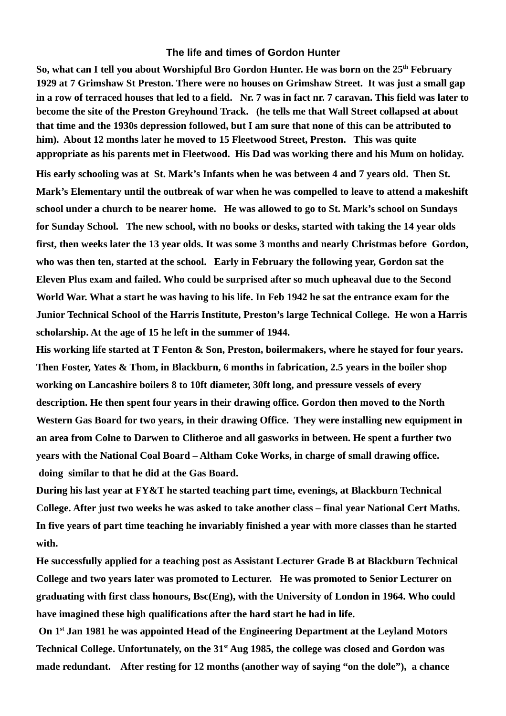## **The life and times of Gordon Hunter**

**So, what can I tell you about Worshipful Bro Gordon Hunter. He was born on the 25th February 1929 at 7 Grimshaw St Preston. There were no houses on Grimshaw Street. It was just a small gap in a row of terraced houses that led to a field. Nr. 7 was in fact nr. 7 caravan. This field was later to become the site of the Preston Greyhound Track. (he tells me that Wall Street collapsed at about that time and the 1930s depression followed, but I am sure that none of this can be attributed to him). About 12 months later he moved to 15 Fleetwood Street, Preston. This was quite appropriate as his parents met in Fleetwood. His Dad was working there and his Mum on holiday.**

**His early schooling was at St. Mark's Infants when he was between 4 and 7 years old. Then St. Mark's Elementary until the outbreak of war when he was compelled to leave to attend a makeshift school under a church to be nearer home. He was allowed to go to St. Mark's school on Sundays for Sunday School. The new school, with no books or desks, started with taking the 14 year olds first, then weeks later the 13 year olds. It was some 3 months and nearly Christmas before Gordon, who was then ten, started at the school. Early in February the following year, Gordon sat the Eleven Plus exam and failed. Who could be surprised after so much upheaval due to the Second World War. What a start he was having to his life. In Feb 1942 he sat the entrance exam for the Junior Technical School of the Harris Institute, Preston's large Technical College. He won a Harris scholarship. At the age of 15 he left in the summer of 1944.** 

**His working life started at T Fenton & Son, Preston, boilermakers, where he stayed for four years. Then Foster, Yates & Thom, in Blackburn, 6 months in fabrication, 2.5 years in the boiler shop working on Lancashire boilers 8 to 10ft diameter, 30ft long, and pressure vessels of every description. He then spent four years in their drawing office. Gordon then moved to the North Western Gas Board for two years, in their drawing Office. They were installing new equipment in an area from Colne to Darwen to Clitheroe and all gasworks in between. He spent a further two years with the National Coal Board – Altham Coke Works, in charge of small drawing office. doing similar to that he did at the Gas Board.** 

**During his last year at FY&T he started teaching part time, evenings, at Blackburn Technical College. After just two weeks he was asked to take another class – final year National Cert Maths. In five years of part time teaching he invariably finished a year with more classes than he started with.**

**He successfully applied for a teaching post as Assistant Lecturer Grade B at Blackburn Technical College and two years later was promoted to Lecturer. He was promoted to Senior Lecturer on graduating with first class honours, Bsc(Eng), with the University of London in 1964. Who could have imagined these high qualifications after the hard start he had in life.**

 **On 1st Jan 1981 he was appointed Head of the Engineering Department at the Leyland Motors Technical College. Unfortunately, on the 31st Aug 1985, the college was closed and Gordon was made redundant. After resting for 12 months (another way of saying "on the dole"), a chance**